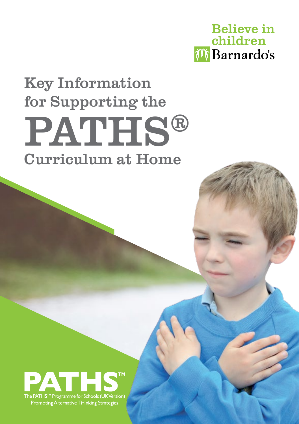

# Key Information for Supporting the PATHS® Curriculum at Home



Promoting Alternative THinking Strategies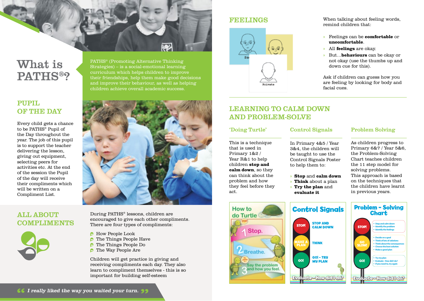## What is PATHS®?

#### **PUPIL** OF THE DAY

Every child gets a chance to be PATHS® Pupil of the Day throughout the year. The job of this pupil is to support the teacher delivering the lesson, giving out equipment, selecting peers for activities etc. At the end of the session the Pupil of the day will receive their compliments which will be written on a Compliment List.

#### All about **COMPLIMENTS**



#### **FEELINGS**



#### When talking about feeling words, remind children that:

- » Feelings can be **comfortable** or **uncomfortable**.
- » All **feelings** are okay.
- » But…**behaviours** can be okay or not okay (use the thumbs up and down cue for this).

Ask if children can guess how you are feeling by looking for body and facial cues.

#### Learning to Calm Down and Problem-Solve

#### 'Doing Turtle'

This is a technique that is used in Primary 1&2 / Year R&1 to help children **stop and calm down**, so they can think about the problem and how they feel before they

act.

### Control Signals

In Primary 4&5 / Year 3&4, the children will be taught to use the Control Signals Poster to help them to:

- » **Stop** and **calm down**
- » **Think** about a plan
- » **Try the plan** and **evaluate it**

#### Problem Solving

As children progress to Primary 6&7 / Year 5&6, the Problem-Solving Chart teaches children the 11 step model for solving problems. This approach is based on the techniques that the children have learnt in previous years.



PATHS® (Promoting Alternative Thinking Strategies) – is a social-emotional learning curriculum which helps children to improve their friendships, help them make good decisions and improve their behaviour, as well as helping children achieve overall academic success.

During PATHS® lessons, children are encouraged to give each other compliments. There are four types of compliments:

- **B** How People Look
- $\triangleright$  The Things People Have
- The Things People Do
- **C** The Way People Are

Children will get practice in giving and receiving compliments each day. They also learn to compliment themselves - this is so important for building self-esteem